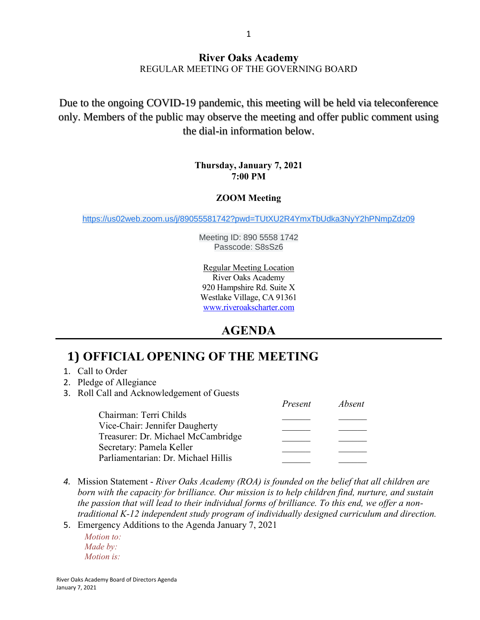#### **River Oaks Academy** REGULAR MEETING OF THE GOVERNING BOARD

Due to the ongoing COVID-19 pandemic, this meeting will be held via teleconference only. Members of the public may observe the meeting and offer public comment using the dial-in information below.

#### **Thursday, January 7, 2021 7:00 PM**

#### **ZOOM Meeting**

[https://us02web.zoom.us/j/89055581742?pwd=TUtXU2R4YmxTbUdka3NyY2hPNmpZdz09](https://www.google.com/url?q=https://us02web.zoom.us/j/89055581742?pwd%3DTUtXU2R4YmxTbUdka3NyY2hPNmpZdz09&sa=D&source=calendar&ust=1609190001791000&usg=AOvVaw0eCcf5X4FWxOG682sb9VQ1)

Meeting ID: 890 5558 1742 Passcode: S8sSz6

Regular Meeting Location River Oaks Academy 920 Hampshire Rd. Suite X Westlake Village, CA 91361 [www.riveroakscharter.com](http://www.riveroakscharter.com/)

## **AGENDA**

# **1) OFFICIAL OPENING OF THE MEETING**

- 1. Call to Order
- 2. Pledge of Allegiance
- 3. Roll Call and Acknowledgement of Guests

|                                     | Present | <i>Absent</i> |
|-------------------------------------|---------|---------------|
| Chairman: Terri Childs              |         |               |
| Vice-Chair: Jennifer Daugherty      |         |               |
| Treasurer: Dr. Michael McCambridge  |         |               |
| Secretary: Pamela Keller            |         |               |
| Parliamentarian: Dr. Michael Hillis |         |               |

- *4.* Mission Statement *River Oaks Academy (ROA) is founded on the belief that all children are born with the capacity for brilliance. Our mission is to help children find, nurture, and sustain the passion that will lead to their individual forms of brilliance. To this end, we offer a nontraditional K-12 independent study program of individually designed curriculum and direction.*
- 5. Emergency Additions to the Agenda January 7, 2021

*Motion to: Made by: Motion is:*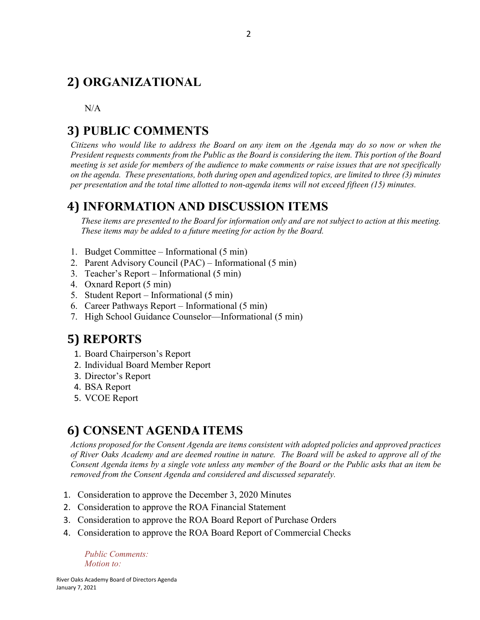# **2) ORGANIZATIONAL**

N/A

## **3) PUBLIC COMMENTS**

*Citizens who would like to address the Board on any item on the Agenda may do so now or when the President requests comments from the Public as the Board is considering the item. This portion of the Board meeting is set aside for members of the audience to make comments or raise issues that are not specifically on the agenda. These presentations, both during open and agendized topics, are limited to three (3) minutes per presentation and the total time allotted to non-agenda items will not exceed fifteen (15) minutes.*

## **4) INFORMATION AND DISCUSSION ITEMS**

*These items are presented to the Board for information only and are not subject to action at this meeting. These items may be added to a future meeting for action by the Board.*

- 1. Budget Committee Informational (5 min)
- 2. Parent Advisory Council (PAC) Informational (5 min)
- 3. Teacher's Report Informational (5 min)
- 4. Oxnard Report (5 min)
- 5. Student Report Informational (5 min)
- 6. Career Pathways Report Informational (5 min)
- 7. High School Guidance Counselor—Informational (5 min)

## **5) REPORTS**

- 1. Board Chairperson's Report
- 2. Individual Board Member Report
- 3. Director's Report
- 4. BSA Report
- 5. VCOE Report

## **6) CONSENT AGENDA ITEMS**

*Actions proposed for the Consent Agenda are items consistent with adopted policies and approved practices of River Oaks Academy and are deemed routine in nature. The Board will be asked to approve all of the Consent Agenda items by a single vote unless any member of the Board or the Public asks that an item be removed from the Consent Agenda and considered and discussed separately.*

- 1. Consideration to approve the December 3, 2020 Minutes
- 2. Consideration to approve the ROA Financial Statement
- 3. Consideration to approve the ROA Board Report of Purchase Orders
- 4. Consideration to approve the ROA Board Report of Commercial Checks

*Public Comments: Motion to:*

River Oaks Academy Board of Directors Agenda January 7, 2021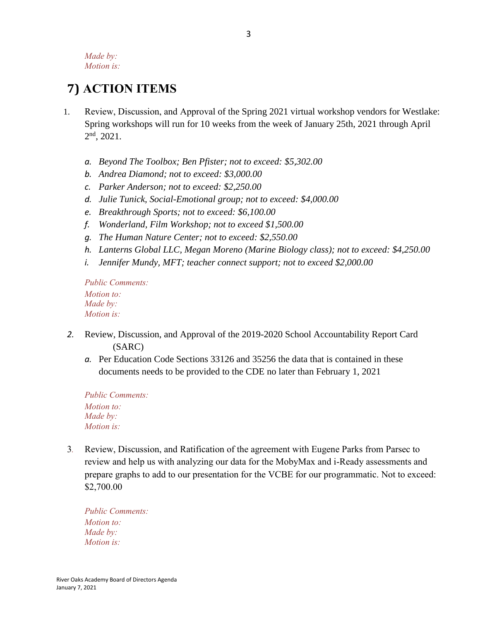*Made by: Motion is:*

# **7) ACTION ITEMS**

- 1. Review, Discussion, and Approval of the Spring 2021 virtual workshop vendors for Westlake: Spring workshops will run for 10 weeks from the week of January 25th, 2021 through April  $2<sup>nd</sup>$ , 2021.
	- *a. Beyond The Toolbox; Ben Pfister; not to exceed: \$5,302.00*
	- *b. Andrea Diamond; not to exceed: \$3,000.00*
	- *c. Parker Anderson; not to exceed: \$2,250.00*
	- *d. Julie Tunick, Social-Emotional group; not to exceed: \$4,000.00*
	- *e. Breakthrough Sports; not to exceed: \$6,100.00*
	- *f. Wonderland, Film Workshop; not to exceed \$1,500.00*
	- *g. The Human Nature Center; not to exceed: \$2,550.00*
	- *h. Lanterns Global LLC, Megan Moreno (Marine Biology class); not to exceed: \$4,250.00*
	- *i. Jennifer Mundy, MFT; teacher connect support; not to exceed \$2,000.00*

*Public Comments: Motion to: Made by: Motion is:*

- *2.* Review, Discussion, and Approval of the 2019-2020 School Accountability Report Card (SARC)
	- *a.* Per Education Code Sections 33126 and 35256 the data that is contained in these documents needs to be provided to the CDE no later than February 1, 2021

*Public Comments: Motion to: Made by: Motion is:*

3*.* Review, Discussion, and Ratification of the agreement with Eugene Parks from Parsec to review and help us with analyzing our data for the MobyMax and i-Ready assessments and prepare graphs to add to our presentation for the VCBE for our programmatic. Not to exceed: \$2,700.00

*Public Comments: Motion to: Made by: Motion is:*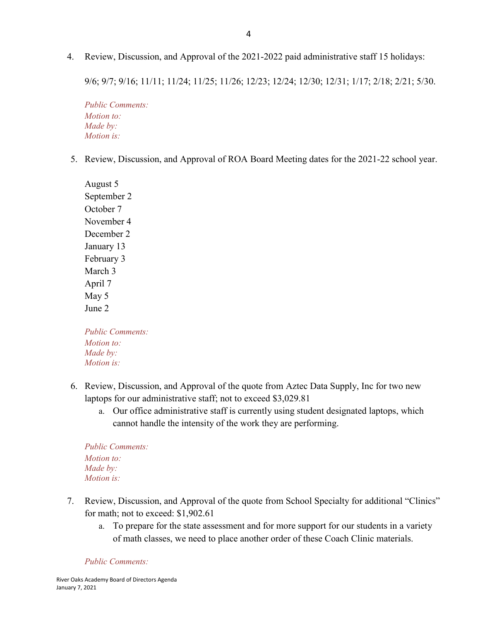4. Review, Discussion, and Approval of the 2021-2022 paid administrative staff 15 holidays:

9/6; 9/7; 9/16; 11/11; 11/24; 11/25; 11/26; 12/23; 12/24; 12/30; 12/31; 1/17; 2/18; 2/21; 5/30.

*Public Comments: Motion to: Made by: Motion is:*

5. Review, Discussion, and Approval of ROA Board Meeting dates for the 2021-22 school year.

August 5 September 2 October 7 November 4 December 2 January 13 February 3 March 3 April 7 May 5 June 2

*Public Comments: Motion to: Made by: Motion is:*

- 6. Review, Discussion, and Approval of the quote from Aztec Data Supply, Inc for two new laptops for our administrative staff; not to exceed \$3,029.81
	- a. Our office administrative staff is currently using student designated laptops, which cannot handle the intensity of the work they are performing.

*Public Comments: Motion to: Made by: Motion is:*

- 7. Review, Discussion, and Approval of the quote from School Specialty for additional "Clinics" for math; not to exceed: \$1,902.61
	- a. To prepare for the state assessment and for more support for our students in a variety of math classes, we need to place another order of these Coach Clinic materials.

#### *Public Comments:*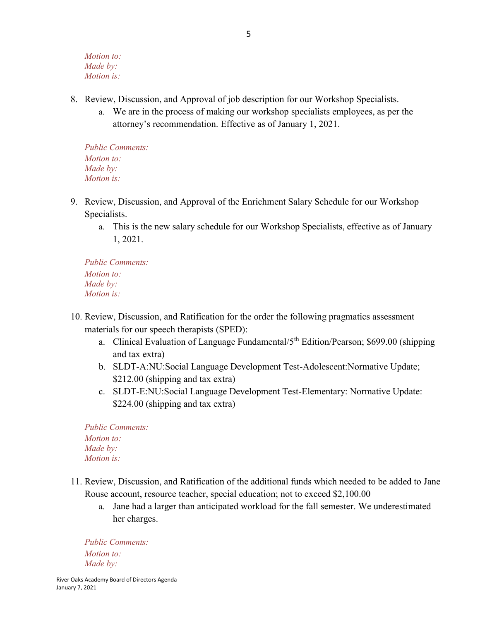*Motion to: Made by: Motion is:*

- 8. Review, Discussion, and Approval of job description for our Workshop Specialists.
	- a. We are in the process of making our workshop specialists employees, as per the attorney's recommendation. Effective as of January 1, 2021.

*Public Comments: Motion to: Made by: Motion is:*

- 9. Review, Discussion, and Approval of the Enrichment Salary Schedule for our Workshop Specialists.
	- a. This is the new salary schedule for our Workshop Specialists, effective as of January 1, 2021.

*Public Comments: Motion to: Made by: Motion is:*

- 10. Review, Discussion, and Ratification for the order the following pragmatics assessment materials for our speech therapists (SPED):
	- a. Clinical Evaluation of Language Fundamental/5<sup>th</sup> Edition/Pearson; \$699.00 (shipping and tax extra)
	- b. SLDT-A:NU:Social Language Development Test-Adolescent:Normative Update; \$212.00 (shipping and tax extra)
	- c. SLDT-E:NU:Social Language Development Test-Elementary: Normative Update: \$224.00 (shipping and tax extra)

*Public Comments: Motion to: Made by: Motion is:*

- 11. Review, Discussion, and Ratification of the additional funds which needed to be added to Jane Rouse account, resource teacher, special education; not to exceed \$2,100.00
	- a. Jane had a larger than anticipated workload for the fall semester. We underestimated her charges.

*Public Comments: Motion to: Made by:*

River Oaks Academy Board of Directors Agenda January 7, 2021